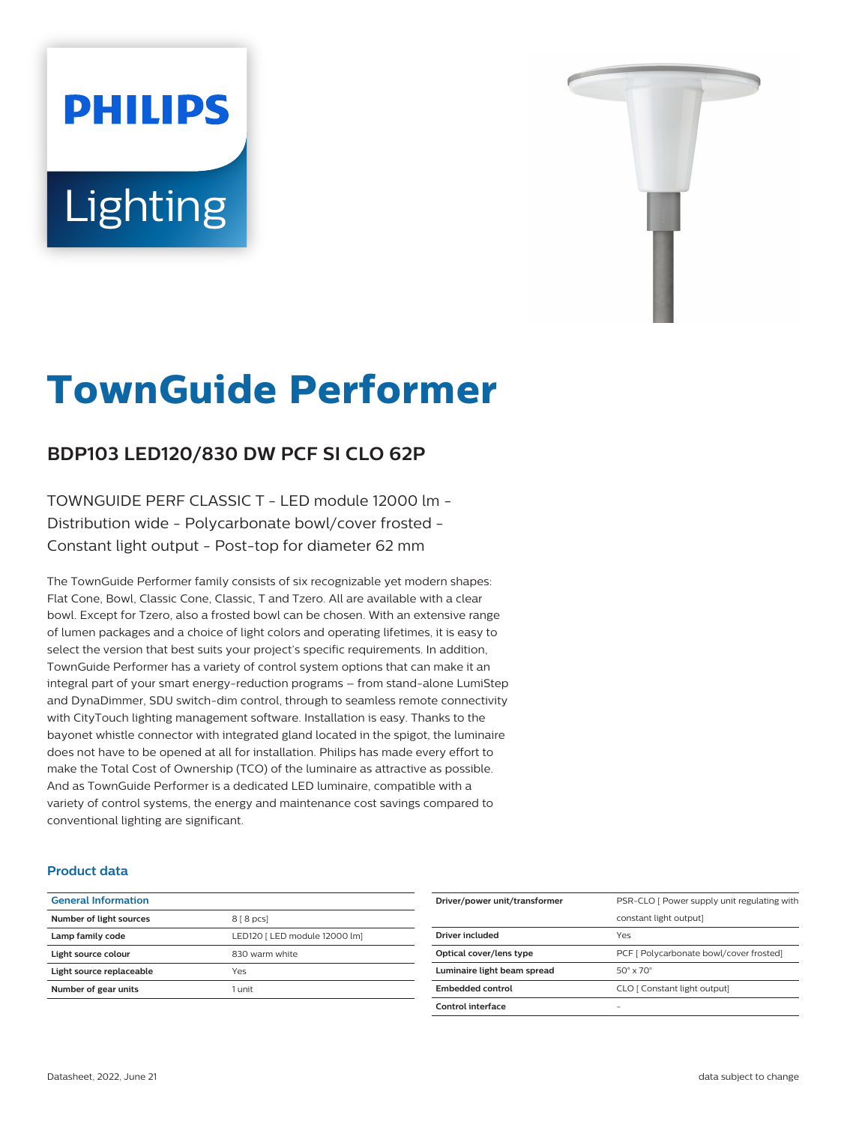# **PHILIPS** Lighting



# **TownGuide Performer**

# **BDP103 LED120/830 DW PCF SI CLO 62P**

TOWNGUIDE PERF CLASSIC T - LED module 12000 lm - Distribution wide - Polycarbonate bowl/cover frosted - Constant light output - Post-top for diameter 62 mm

The TownGuide Performer family consists of six recognizable yet modern shapes: Flat Cone, Bowl, Classic Cone, Classic, T and Tzero. All are available with a clear bowl. Except for Tzero, also a frosted bowl can be chosen. With an extensive range of lumen packages and a choice of light colors and operating lifetimes, it is easy to select the version that best suits your project's specific requirements. In addition, TownGuide Performer has a variety of control system options that can make it an integral part of your smart energy-reduction programs – from stand-alone LumiStep and DynaDimmer, SDU switch-dim control, through to seamless remote connectivity with CityTouch lighting management software. Installation is easy. Thanks to the bayonet whistle connector with integrated gland located in the spigot, the luminaire does not have to be opened at all for installation. Philips has made every effort to make the Total Cost of Ownership (TCO) of the luminaire as attractive as possible. And as TownGuide Performer is a dedicated LED luminaire, compatible with a variety of control systems, the energy and maintenance cost savings compared to conventional lighting are significant.

#### **Product data**

| <b>General Information</b> |                               |
|----------------------------|-------------------------------|
| Number of light sources    | $88$ pcs                      |
| Lamp family code           | LED120   LED module 12000 lm] |
| Light source colour        | 830 warm white                |
| Light source replaceable   | Yes                           |
| Number of gear units       | 1 unit                        |
|                            |                               |

| Driver/power unit/transformer | PSR-CLO [ Power supply unit regulating with |
|-------------------------------|---------------------------------------------|
|                               | constant light output]                      |
| Driver included               | Yes                                         |
| Optical cover/lens type       | PCF [ Polycarbonate bowl/cover frosted]     |
| Luminaire light beam spread   | $50^\circ \times 70^\circ$                  |
| Embedded control              | CLO [ Constant light output]                |
| Control interface             | -                                           |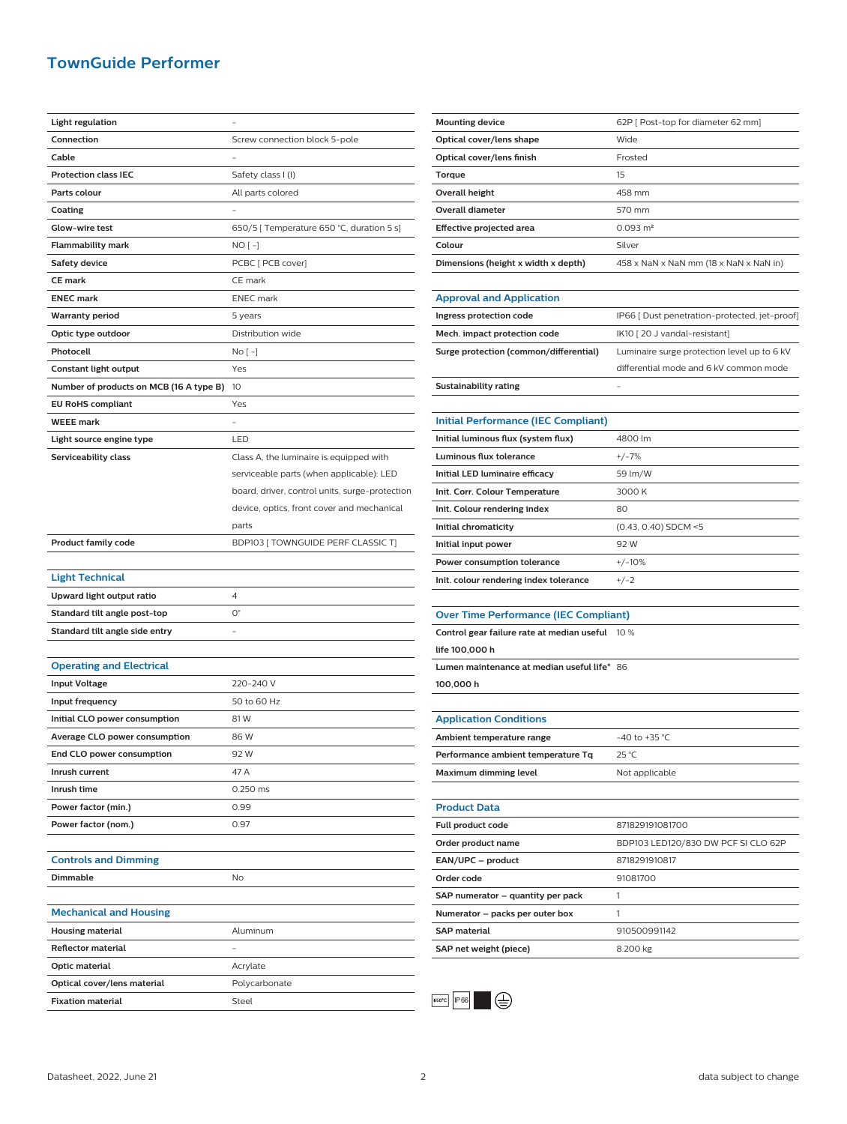## **TownGuide Performer**

| Light regulation                        |                                                |
|-----------------------------------------|------------------------------------------------|
| Connection                              | Screw connection block 5-pole                  |
| Cable                                   |                                                |
| <b>Protection class IEC</b>             | Safety class I (I)                             |
| Parts colour                            | All parts colored                              |
| Coating                                 |                                                |
| Glow-wire test                          | 650/5 [ Temperature 650 °C, duration 5 s]      |
| Flammability mark                       | NO [ -]                                        |
| <b>Safety device</b>                    | PCBC [ PCB cover]                              |
| <b>CE mark</b>                          | CE mark                                        |
| <b>ENEC mark</b>                        | <b>ENEC</b> mark                               |
| <b>Warranty period</b>                  | 5 years                                        |
| Optic type outdoor                      | Distribution wide                              |
| Photocell                               | No [ -]                                        |
| Constant light output                   | Yes                                            |
| Number of products on MCB (16 A type B) | 10                                             |
| <b>EU RoHS compliant</b>                | Yes                                            |
| <b>WEEE</b> mark                        |                                                |
| Light source engine type                | LED                                            |
| Serviceability class                    | Class A, the luminaire is equipped with        |
|                                         | serviceable parts (when applicable): LED       |
|                                         | board, driver, control units, surge-protection |
|                                         | device, optics, front cover and mechanical     |
|                                         | parts                                          |
| <b>Product family code</b>              | BDP103 [TOWNGUIDE PERF CLASSIC T]              |
|                                         |                                                |
| <b>Light Technical</b>                  |                                                |
| Upward light output ratio               | $\overline{4}$                                 |
| Standard tilt angle post-top            | $O^{\circ}$                                    |
| Standard tilt angle side entry          |                                                |
|                                         |                                                |
| <b>Operating and Electrical</b>         |                                                |
| <b>Input Voltage</b>                    | 220-240 V                                      |
| Input frequency                         | 50 to 60 Hz                                    |
| Initial CLO power consumption           | 81W                                            |
| Average CLO power consumption           | 86 W                                           |
| End CLO power consumption               | 92 W                                           |
| Inrush current                          | 47 A                                           |
| Inrush time                             | 0.250 ms                                       |
| Power factor (min.)                     | 0.99                                           |
| Power factor (nom.)                     | 0.97                                           |
|                                         |                                                |
| <b>Controls and Dimming</b>             |                                                |
| Dimmable                                | No                                             |
|                                         |                                                |
| <b>Mechanical and Housing</b>           |                                                |
| <b>Housing material</b>                 | Aluminum                                       |
| <b>Reflector material</b>               |                                                |
| Optic material                          | Acrylate                                       |
| Optical cover/lens material             | Polycarbonate                                  |
| <b>Fixation material</b>                | Steel                                          |

| <b>Mounting device</b>              | 62P   Post-top for diameter 62 mm]     |
|-------------------------------------|----------------------------------------|
| Optical cover/lens shape            | Wide                                   |
| Optical cover/lens finish           | Frosted                                |
| Torque                              | 15                                     |
| <b>Overall height</b>               | 458 mm                                 |
| <b>Overall diameter</b>             | 570 mm                                 |
| Effective projected area            | $0.093 \text{ m}^2$                    |
| Colour                              | Silver                                 |
| Dimensions (height x width x depth) | 458 x NaN x NaN mm (18 x NaN x NaN in) |
|                                     |                                        |

| <b>Approval and Application</b>        |                                              |
|----------------------------------------|----------------------------------------------|
| Ingress protection code                | IP66   Dust penetration-protected, jet-proof |
| Mech. impact protection code           | IK10 [20 J vandal-resistant]                 |
| Surge protection (common/differential) | Luminaire surge protection level up to 6 kV  |
|                                        | differential mode and 6 kV common mode       |
| Sustainability rating                  |                                              |

**Initial Performance (IEC Compliant)**

| 4800 lm                |
|------------------------|
| $+/-7%$                |
| 59 lm/W                |
| 3000 K                 |
| 80                     |
| $(0.43, 0.40)$ SDCM <5 |
| 92 W                   |
| $+/-10%$               |
| $+/-2$                 |
|                        |

#### **Over Time Performance (IEC Compliant)**

| Control gear failure rate at median useful  | $10\%$ |
|---------------------------------------------|--------|
| life 100,000 h                              |        |
| Lumen maintenance at median useful life* 86 |        |
| 100,000 h                                   |        |
|                                             |        |

| Ambient temperature range          | $-40$ to $+35$ °C. |
|------------------------------------|--------------------|
| Performance ambient temperature Tq | 25 °C              |
| Maximum dimming level              | Not applicable     |
|                                    |                    |

| <b>Product Data</b>               |                                     |
|-----------------------------------|-------------------------------------|
| <b>Full product code</b>          | 871829191081700                     |
| Order product name                | BDP103 LED120/830 DW PCF SI CLO 62P |
| EAN/UPC - product                 | 8718291910817                       |
| Order code                        | 91081700                            |
| SAP numerator - quantity per pack |                                     |
| Numerator - packs per outer box   |                                     |
| <b>SAP material</b>               | 910500991142                        |
| SAP net weight (piece)            | 8.200 kg                            |
|                                   |                                     |